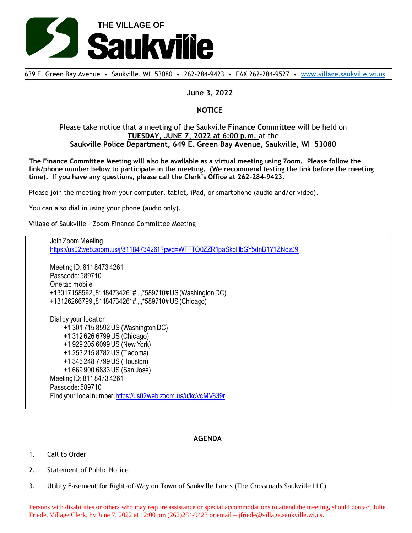

639 E. Green Bay Avenue • Saukville, WI 53080 • 262-284-9423 • FAX 262-284-9527 • [www.village.saukville.wi.us](http://www.village.saukville.wi.us/)

## **June 3, 2022**

## **NOTICE**

## Please take notice that a meeting of the Saukville **Finance Committee** will be held on **TUESDAY, JUNE 7, 2022 at 6:00 p.m.** at the **Saukville Police Department, 649 E. Green Bay Avenue, Saukville, WI 53080**

**The Finance Committee Meeting will also be available as a virtual meeting using Zoom. Please follow the link/phone number below to participate in the meeting. (We recommend testing the link before the meeting time). If you have any questions, please call the Clerk's Office at 262-284-9423.**

Please join the meeting from your computer, tablet, iPad, or smartphone (audio and/or video).

You can also dial in using your phone (audio only).

Village of Saukville – Zoom Finance Committee Meeting

Join Zoom Meeting https://us02web.zoom.us/j/81184734261?pwd=WTFTQ0ZZR1paSkpHbGY5dnB1Y1ZNdz09 Meeting ID: 811 8473 4261 Passcode: 589710 One tap mobile +13017158592,,81184734261#,,,,\*589710# US (Washington DC) +13126266799,,81184734261#,,,,\*589710# US (Chicago) Dial by your location +1 301 715 8592 US (Washington DC) +1 312 626 6799 US (Chicago) +1 929 205 6099 US (New York) +1 253 215 8782 US (Tacoma) +1 346 248 7799 US (Houston) +1 669 900 6833 US (San Jose) Meeting ID: 811 8473 4261 Passcode: 589710 Find your local number: https://us02web.zoom.us/u/kcVcMV839r

## **AGENDA**

- 1. Call to Order
- 2. Statement of Public Notice
- 3. Utility Easement for Right-of-Way on Town of Saukville Lands (The Crossroads Saukville LLC)

Persons with disabilities or others who may require assistance or special accommodations to attend the meeting, should contact Julie Friede, Village Clerk, by June 7, 2022 at 12:00 pm (262)284-9423 or email – jfriede@village.saukville.wi.us.